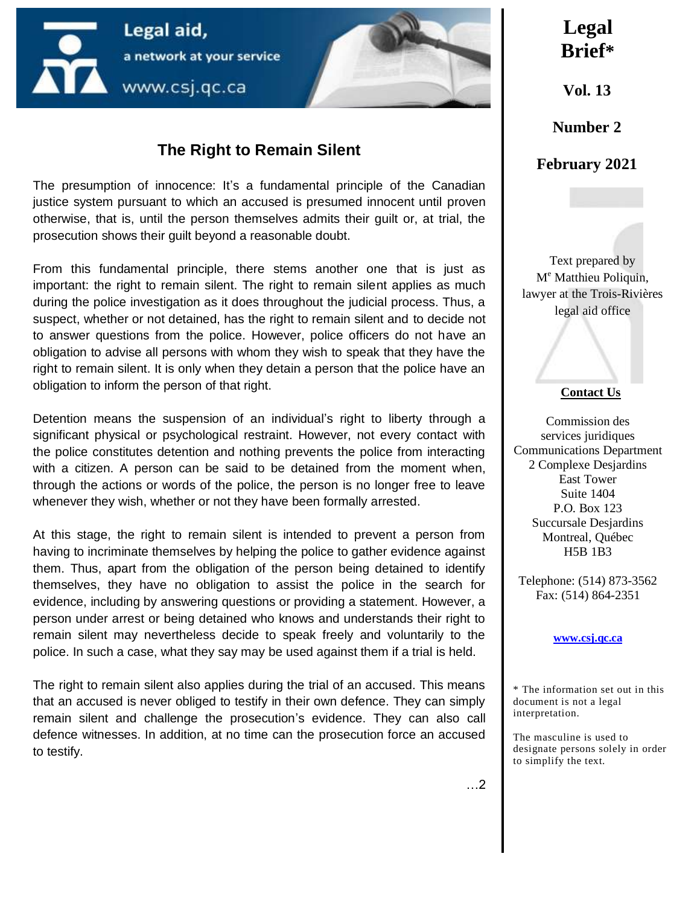

### **The Right to Remain Silent**

The presumption of innocence: It's a fundamental principle of the Canadian justice system pursuant to which an accused is presumed innocent until proven otherwise, that is, until the person themselves admits their guilt or, at trial, the prosecution shows their guilt beyond a reasonable doubt.

From this fundamental principle, there stems another one that is just as important: the right to remain silent. The right to remain silent applies as much during the police investigation as it does throughout the judicial process. Thus, a suspect, whether or not detained, has the right to remain silent and to decide not to answer questions from the police. However, police officers do not have an obligation to advise all persons with whom they wish to speak that they have the right to remain silent. It is only when they detain a person that the police have an obligation to inform the person of that right.

Detention means the suspension of an individual's right to liberty through a significant physical or psychological restraint. However, not every contact with the police constitutes detention and nothing prevents the police from interacting with a citizen. A person can be said to be detained from the moment when, through the actions or words of the police, the person is no longer free to leave whenever they wish, whether or not they have been formally arrested.

At this stage, the right to remain silent is intended to prevent a person from having to incriminate themselves by helping the police to gather evidence against them. Thus, apart from the obligation of the person being detained to identify themselves, they have no obligation to assist the police in the search for evidence, including by answering questions or providing a statement. However, a person under arrest or being detained who knows and understands their right to remain silent may nevertheless decide to speak freely and voluntarily to the police. In such a case, what they say may be used against them if a trial is held.

The right to remain silent also applies during the trial of an accused. This means that an accused is never obliged to testify in their own defence. They can simply remain silent and challenge the prosecution's evidence. They can also call defence witnesses. In addition, at no time can the prosecution force an accused to testify.

# **Legal Brief\***

**Vol. 13**

**Number 2**

**February 2021**

Text prepared by M<sup>e</sup> Matthieu Poliquin, lawyer at the Trois-Rivières legal aid office

### **Contact Us**

Commission des services juridiques Communications Department 2 Complexe Desjardins East Tower Suite 1404 P.O. Box 123 Succursale Desjardins Montreal, Québec H5B 1B3

Telephone: (514) 873-3562 Fax: (514) 864-2351

### **[www.csj.qc.ca](http://www.csj.qc.ca/commission-des-services-juridiques/accueil.aspx?lang=en)**

\* The information set out in this document is not a legal interpretation.

The masculine is used to designate persons solely in order to simplify the text.

…2